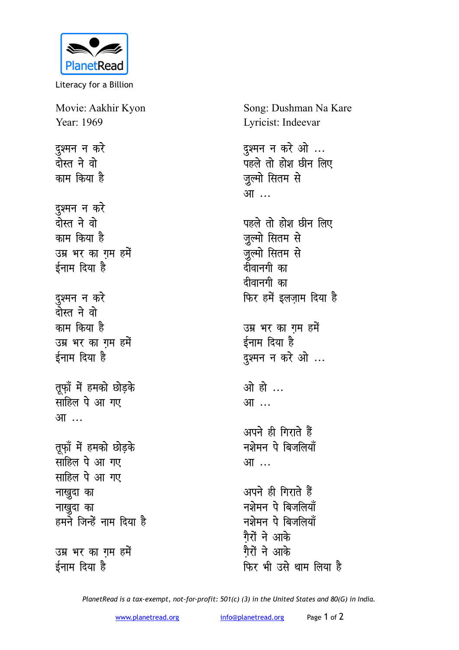

Literacy for a Billion

Movie: Aakhir Kyon Year: 1969 <u>द</u>्रश्मन न करे <u>दोस्त ने वो</u> काम किया है दुश्मन न करे <u>रोस्त ने वो</u> <u>काम किया है</u> उम्र भर का गम हमें **ईनाम** दिया है दुश्मन न कर<mark>े</mark> <u>रोस्त ने वो</u> काम किया है उम्र भर का गम हमें ईनाम दिया है तूफ़ॉ में हमको छोड़के **साहिल पे आ गए** <u>आ</u>… तूफ़ॉ में हमको छोड़के **साहिल पे आ गए साहिल पे आ गए नाखुदा** का **नाखुदा** का हमने जिन्हें नाम दिया ह<del>ै</del>

उम्र भर का गम हमें ईनाम दिया है

Song: Dushman Na Kare Lyricist: Indeevar

दुश्मन न करे ओ ... पहले तो होश छीन लिए जुल्मो सितम से <u>आ…</u>

पहले तो होश छीन लिए जुल्मो सितम से जुल्मो सितम से दीवानगी का दीवानगी का **फिर हमें इलज़ाम दिया है** 

उम्र भर का गम हमें ईनाम दिया है दुश्मन न करे ओ ...

<u>ओ हो</u> ... आ ...

अपने ही गिराते हैं <u>नशेमन पे बिजलियाँ</u> <u>आ…</u>

अपने ही गिराते हैं नशेमन पे बिजलिया<mark>ँ</mark> **नशेमन पे बिजलियाँ** <u>गैरों ने आके</u> <u>गैरों ने आके</u> **फिर भी उसे थाम लिया है** 

*PlanetRead is a tax-exempt, not-for-profit: 501(c) (3) in the United States and 80(G) in India.*